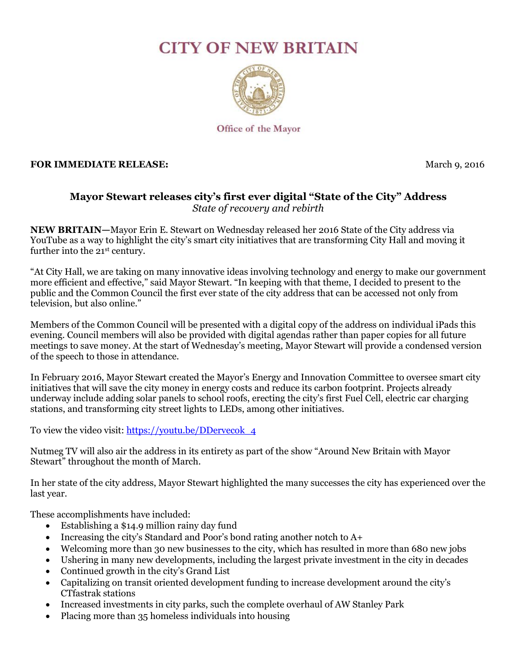## **CITY OF NEW BRITAIN**



Office of the Mayor

## **FOR IMMEDIATE RELEASE:** March 9, 2016

## **Mayor Stewart releases city's first ever digital "State of the City" Address** *State of recovery and rebirth*

**NEW BRITAIN—**Mayor Erin E. Stewart on Wednesday released her 2016 State of the City address via YouTube as a way to highlight the city's smart city initiatives that are transforming City Hall and moving it further into the 21<sup>st</sup> century.

"At City Hall, we are taking on many innovative ideas involving technology and energy to make our government more efficient and effective," said Mayor Stewart. "In keeping with that theme, I decided to present to the public and the Common Council the first ever state of the city address that can be accessed not only from television, but also online."

Members of the Common Council will be presented with a digital copy of the address on individual iPads this evening. Council members will also be provided with digital agendas rather than paper copies for all future meetings to save money. At the start of Wednesday's meeting, Mayor Stewart will provide a condensed version of the speech to those in attendance.

In February 2016, Mayor Stewart created the Mayor's Energy and Innovation Committee to oversee smart city initiatives that will save the city money in energy costs and reduce its carbon footprint. Projects already underway include adding solar panels to school roofs, erecting the city's first Fuel Cell, electric car charging stations, and transforming city street lights to LEDs, among other initiatives.

To view the video visit: [https://youtu.be/DDervecok\\_4](https://youtu.be/DDervecok_4)

Nutmeg TV will also air the address in its entirety as part of the show "Around New Britain with Mayor Stewart" throughout the month of March.

In her state of the city address, Mayor Stewart highlighted the many successes the city has experienced over the last year.

These accomplishments have included:

- Establishing a \$14.9 million rainy day fund
- Increasing the city's Standard and Poor's bond rating another notch to A+
- Welcoming more than 30 new businesses to the city, which has resulted in more than 680 new jobs
- Ushering in many new developments, including the largest private investment in the city in decades
- Continued growth in the city's Grand List
- Capitalizing on transit oriented development funding to increase development around the city's CTfastrak stations
- Increased investments in city parks, such the complete overhaul of AW Stanley Park
- Placing more than 35 homeless individuals into housing